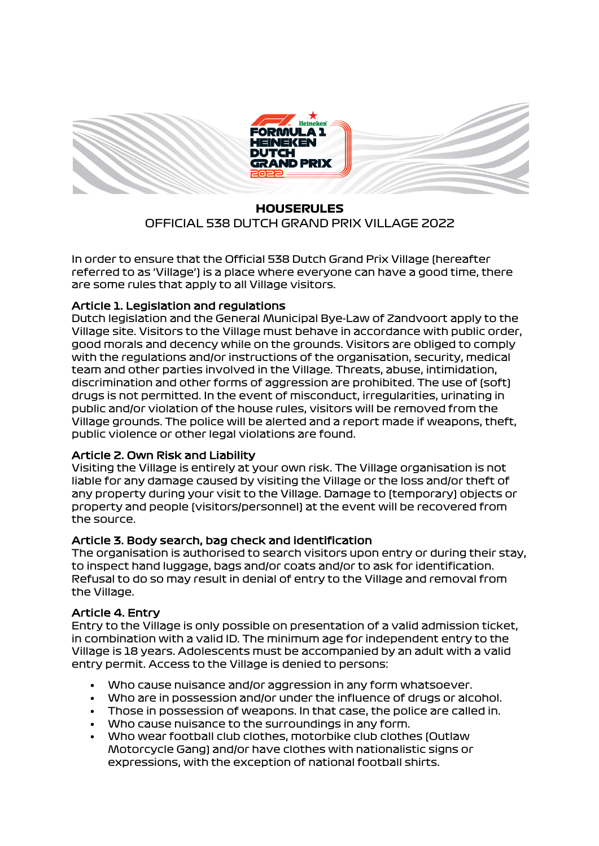

# **HOUSERULES** OFFICIAL 538 DUTCH GRAND PRIX VILLAGE 2022

In order to ensure that the Official 538 Dutch Grand Prix Village (hereafter referred to as 'Village') is a place where everyone can have a good time, there are some rules that apply to all Village visitors.

## Article 1. Legislation and regulations

Dutch legislation and the General Municipal Bye-Law of Zandvoort apply to the Village site. Visitors to the Village must behave in accordance with public order, good morals and decency while on the grounds. Visitors are obliged to comply with the regulations and/or instructions of the organisation, security, medical team and other parties involved in the Village. Threats, abuse, intimidation, discrimination and other forms of aggression are prohibited. The use of (soft) drugs is not permitted. In the event of misconduct, irregularities, urinating in public and/or violation of the house rules, visitors will be removed from the Village grounds. The police will be alerted and a report made if weapons, theft, public violence or other legal violations are found.

#### Article 2. Own Risk and Liability

Visiting the Village is entirely at your own risk. The Village organisation is not liable for any damage caused by visiting the Village or the loss and/or theft of any property during your visit to the Village. Damage to (temporary) objects or property and people (visitors/personnel) at the event will be recovered from the source.

## Article 3. Body search, bag check and identification

The organisation is authorised to search visitors upon entry or during their stay, to inspect hand luggage, bags and/or coats and/or to ask for identification. Refusal to do so may result in denial of entry to the Village and removal from the Village.

## Article 4. Entry

Entry to the Village is only possible on presentation of a valid admission ticket, in combination with a valid ID. The minimum age for independent entry to the Village is 18 years. Adolescents must be accompanied by an adult with a valid entry permit. Access to the Village is denied to persons:

- Who cause nuisance and/or aggression in any form whatsoever.
- Who are in possession and/or under the influence of drugs or alcohol.
- Those in possession of weapons. In that case, the police are called in.
- Who cause nuisance to the surroundings in any form.
- Who wear football club clothes, motorbike club clothes (Outlaw Motorcycle Gang) and/or have clothes with nationalistic signs or expressions, with the exception of national football shirts.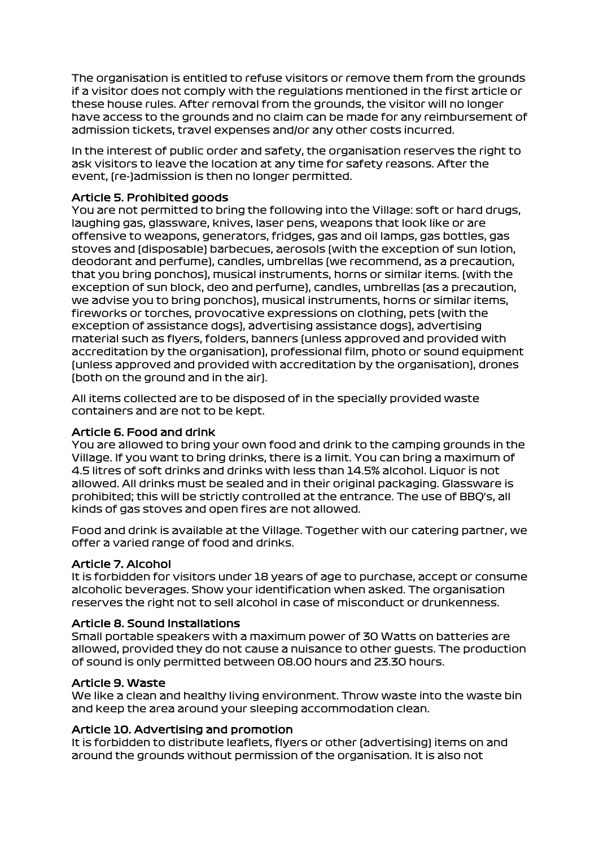The organisation is entitled to refuse visitors or remove them from the grounds if a visitor does not comply with the regulations mentioned in the first article or these house rules. After removal from the grounds, the visitor will no longer have access to the grounds and no claim can be made for any reimbursement of admission tickets, travel expenses and/or any other costs incurred.

In the interest of public order and safety, the organisation reserves the right to ask visitors to leave the location at any time for safety reasons. After the event, (re-)admission is then no longer permitted.

#### Article 5. Prohibited goods

You are not permitted to bring the following into the Village: soft or hard drugs, laughing gas, glassware, knives, laser pens, weapons that look like or are offensive to weapons, generators, fridges, gas and oil lamps, gas bottles, gas stoves and (disposable) barbecues, aerosols (with the exception of sun lotion, deodorant and perfume), candles, umbrellas (we recommend, as a precaution, that you bring ponchos), musical instruments, horns or similar items. (with the exception of sun block, deo and perfume), candles, umbrellas (as a precaution, we advise you to bring ponchos), musical instruments, horns or similar items, fireworks or torches, provocative expressions on clothing, pets (with the exception of assistance dogs), advertising assistance dogs), advertising material such as flyers, folders, banners (unless approved and provided with accreditation by the organisation), professional film, photo or sound equipment (unless approved and provided with accreditation by the organisation), drones (both on the ground and in the air).

All items collected are to be disposed of in the specially provided waste containers and are not to be kept.

## Article 6. Food and drink

You are allowed to bring your own food and drink to the camping grounds in the Village. If you want to bring drinks, there is a limit. You can bring a maximum of 4.5 litres of soft drinks and drinks with less than 14.5% alcohol. Liquor is not allowed. All drinks must be sealed and in their original packaging. Glassware is prohibited; this will be strictly controlled at the entrance. The use of BBQ's, all kinds of gas stoves and open fires are not allowed.

Food and drink is available at the Village. Together with our catering partner, we offer a varied range of food and drinks.

## Article 7. Alcohol

It is forbidden for visitors under 18 years of age to purchase, accept or consume alcoholic beverages. Show your identification when asked. The organisation reserves the right not to sell alcohol in case of misconduct or drunkenness.

## Article 8. Sound Installations

Small portable speakers with a maximum power of 30 Watts on batteries are allowed, provided they do not cause a nuisance to other guests. The production of sound is only permitted between 08.00 hours and 23.30 hours.

## Article 9. Waste

We like a clean and healthy living environment. Throw waste into the waste bin and keep the area around your sleeping accommodation clean.

## Article 10. Advertising and promotion

It is forbidden to distribute leaflets, flyers or other (advertising) items on and around the grounds without permission of the organisation. It is also not